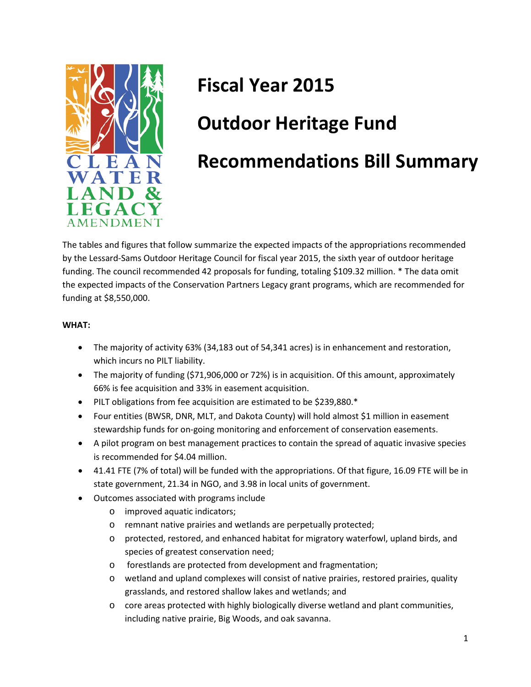

# **Fiscal Year 2015**

## **Outdoor Heritage Fund**

### **Recommendations Bill Summary**

The tables and figures that follow summarize the expected impacts of the appropriations recommended by the Lessard-Sams Outdoor Heritage Council for fiscal year 2015, the sixth year of outdoor heritage funding. The council recommended 42 proposals for funding, totaling \$109.32 million. \* The data omit the expected impacts of the Conservation Partners Legacy grant programs, which are recommended for funding at \$8,550,000.

#### **WHAT:**

- The majority of activity 63% (34,183 out of 54,341 acres) is in enhancement and restoration, which incurs no PILT liability.
- The majority of funding (\$71,906,000 or 72%) is in acquisition. Of this amount, approximately 66% is fee acquisition and 33% in easement acquisition.
- PILT obligations from fee acquisition are estimated to be \$239,880.\*
- Four entities (BWSR, DNR, MLT, and Dakota County) will hold almost \$1 million in easement stewardship funds for on-going monitoring and enforcement of conservation easements.
- A pilot program on best management practices to contain the spread of aquatic invasive species is recommended for \$4.04 million.
- 41.41 FTE (7% of total) will be funded with the appropriations. Of that figure, 16.09 FTE will be in state government, 21.34 in NGO, and 3.98 in local units of government.
- Outcomes associated with programs include
	- o improved aquatic indicators;
	- o remnant native prairies and wetlands are perpetually protected;
	- o protected, restored, and enhanced habitat for migratory waterfowl, upland birds, and species of greatest conservation need;
	- o forestlands are protected from development and fragmentation;
	- o wetland and upland complexes will consist of native prairies, restored prairies, quality grasslands, and restored shallow lakes and wetlands; and
	- o core areas protected with highly biologically diverse wetland and plant communities, including native prairie, Big Woods, and oak savanna.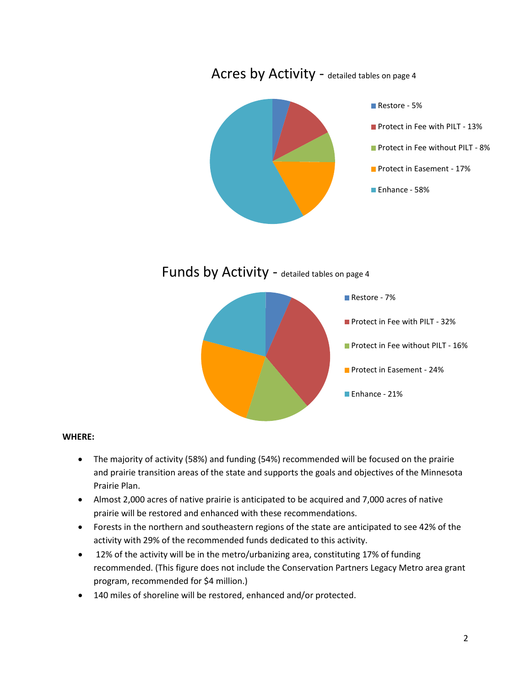

Funds by Activity - detailed tables on page 4



#### **WHERE:**

- The majority of activity (58%) and funding (54%) recommended will be focused on the prairie and prairie transition areas of the state and supports the goals and objectives of the Minnesota Prairie Plan.
- Almost 2,000 acres of native prairie is anticipated to be acquired and 7,000 acres of native prairie will be restored and enhanced with these recommendations.
- Forests in the northern and southeastern regions of the state are anticipated to see 42% of the activity with 29% of the recommended funds dedicated to this activity.
- 12% of the activity will be in the metro/urbanizing area, constituting 17% of funding recommended. (This figure does not include the Conservation Partners Legacy Metro area grant program, recommended for \$4 million.)
- 140 miles of shoreline will be restored, enhanced and/or protected.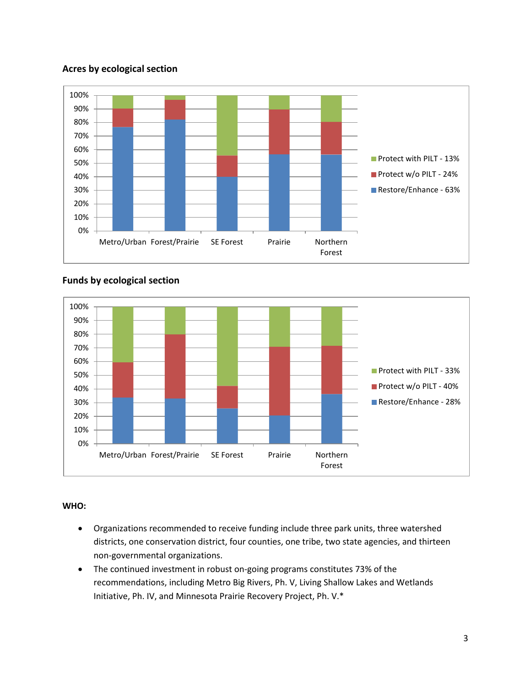#### **Acres by ecological section**



#### 0% 10% 20% 30% 40% 50% 60% 70% 80% 90% 100% Metro/Urban Forest/Prairie SE Forest Prairie Northern Forest Protect with PILT - 33% Protect w/o PILT - 40% Restore/Enhance - 28%

#### **Funds by ecological section**

#### **WHO:**

- Organizations recommended to receive funding include three park units, three watershed districts, one conservation district, four counties, one tribe, two state agencies, and thirteen non-governmental organizations.
- The continued investment in robust on-going programs constitutes 73% of the recommendations, including Metro Big Rivers, Ph. V, Living Shallow Lakes and Wetlands Initiative, Ph. IV, and Minnesota Prairie Recovery Project, Ph. V.\*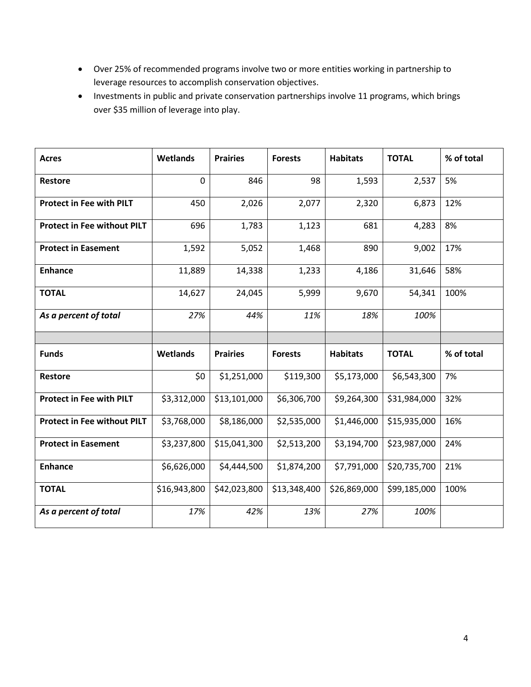- Over 25% of recommended programs involve two or more entities working in partnership to leverage resources to accomplish conservation objectives.
- Investments in public and private conservation partnerships involve 11 programs, which brings over \$35 million of leverage into play.

| <b>Acres</b>                       | Wetlands        | <b>Prairies</b> | <b>Forests</b> | <b>Habitats</b> | <b>TOTAL</b> | % of total |
|------------------------------------|-----------------|-----------------|----------------|-----------------|--------------|------------|
| <b>Restore</b>                     | $\mathbf 0$     | 846             | 98             | 1,593           | 2,537        | 5%         |
| <b>Protect in Fee with PILT</b>    | 450             | 2,026           | 2,077          | 2,320           | 6,873        | 12%        |
| <b>Protect in Fee without PILT</b> | 696             | 1,783           | 1,123          | 681             | 4,283        | 8%         |
| <b>Protect in Easement</b>         | 1,592           | 5,052           | 1,468          | 890             | 9,002        | 17%        |
| <b>Enhance</b>                     | 11,889          | 14,338          | 1,233          | 4,186           | 31,646       | 58%        |
| <b>TOTAL</b>                       | 14,627          | 24,045          | 5,999          | 9,670           | 54,341       | 100%       |
| As a percent of total              | 27%             | 44%             | 11%            | 18%             | 100%         |            |
|                                    |                 |                 |                |                 |              |            |
|                                    |                 |                 |                |                 |              |            |
| <b>Funds</b>                       | <b>Wetlands</b> | <b>Prairies</b> | <b>Forests</b> | <b>Habitats</b> | <b>TOTAL</b> | % of total |
| <b>Restore</b>                     | \$0             | \$1,251,000     | \$119,300      | \$5,173,000     | \$6,543,300  | 7%         |
| <b>Protect in Fee with PILT</b>    | \$3,312,000     | \$13,101,000    | \$6,306,700    | \$9,264,300     | \$31,984,000 | 32%        |
| <b>Protect in Fee without PILT</b> | \$3,768,000     | \$8,186,000     | \$2,535,000    | \$1,446,000     | \$15,935,000 | 16%        |
| <b>Protect in Easement</b>         | \$3,237,800     | \$15,041,300    | \$2,513,200    | \$3,194,700     | \$23,987,000 | 24%        |
| <b>Enhance</b>                     | \$6,626,000     | \$4,444,500     | \$1,874,200    | \$7,791,000     | \$20,735,700 | 21%        |
| <b>TOTAL</b>                       | \$16,943,800    | \$42,023,800    | \$13,348,400   | \$26,869,000    | \$99,185,000 | 100%       |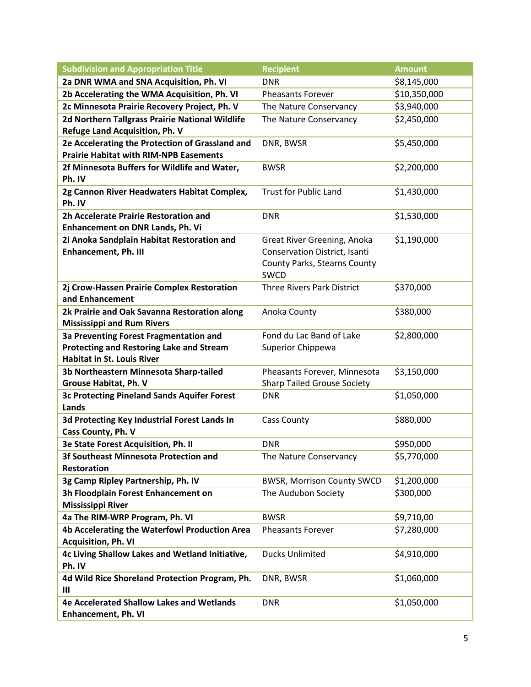| <b>Subdivision and Appropriation Title</b>                                                                                     | <b>Recipient</b>                                                                                                   | <b>Amount</b> |
|--------------------------------------------------------------------------------------------------------------------------------|--------------------------------------------------------------------------------------------------------------------|---------------|
| 2a DNR WMA and SNA Acquisition, Ph. VI                                                                                         | <b>DNR</b>                                                                                                         | \$8,145,000   |
| 2b Accelerating the WMA Acquisition, Ph. VI                                                                                    | <b>Pheasants Forever</b>                                                                                           | \$10,350,000  |
| 2c Minnesota Prairie Recovery Project, Ph. V                                                                                   | The Nature Conservancy                                                                                             | \$3,940,000   |
| 2d Northern Tallgrass Prairie National Wildlife<br>Refuge Land Acquisition, Ph. V                                              | The Nature Conservancy                                                                                             | \$2,450,000   |
| 2e Accelerating the Protection of Grassland and<br><b>Prairie Habitat with RIM-NPB Easements</b>                               | DNR, BWSR                                                                                                          | \$5,450,000   |
| 2f Minnesota Buffers for Wildlife and Water,<br>Ph. IV                                                                         | <b>BWSR</b>                                                                                                        | \$2,200,000   |
| 2g Cannon River Headwaters Habitat Complex,<br>Ph. IV                                                                          | <b>Trust for Public Land</b>                                                                                       | \$1,430,000   |
| 2h Accelerate Prairie Restoration and<br>Enhancement on DNR Lands, Ph. Vi                                                      | <b>DNR</b>                                                                                                         | \$1,530,000   |
| 2i Anoka Sandplain Habitat Restoration and<br><b>Enhancement, Ph. III</b>                                                      | Great River Greening, Anoka<br><b>Conservation District, Isanti</b><br><b>County Parks, Stearns County</b><br>SWCD | \$1,190,000   |
| 2j Crow-Hassen Prairie Complex Restoration<br>and Enhancement                                                                  | <b>Three Rivers Park District</b>                                                                                  | \$370,000     |
| 2k Prairie and Oak Savanna Restoration along<br><b>Mississippi and Rum Rivers</b>                                              | Anoka County                                                                                                       | \$380,000     |
| 3a Preventing Forest Fragmentation and<br><b>Protecting and Restoring Lake and Stream</b><br><b>Habitat in St. Louis River</b> | Fond du Lac Band of Lake<br><b>Superior Chippewa</b>                                                               | \$2,800,000   |
| 3b Northeastern Minnesota Sharp-tailed<br>Grouse Habitat, Ph. V                                                                | Pheasants Forever, Minnesota<br><b>Sharp Tailed Grouse Society</b>                                                 | \$3,150,000   |
| 3c Protecting Pineland Sands Aquifer Forest<br>Lands                                                                           | <b>DNR</b>                                                                                                         | \$1,050,000   |
| 3d Protecting Key Industrial Forest Lands In<br>Cass County, Ph. V                                                             | Cass County                                                                                                        | \$880,000     |
| 3e State Forest Acquisition, Ph. II                                                                                            | <b>DNR</b>                                                                                                         | \$950,000     |
| 3f Southeast Minnesota Protection and<br>Restoration                                                                           | The Nature Conservancy                                                                                             | \$5,770,000   |
| 3g Camp Ripley Partnership, Ph. IV                                                                                             | <b>BWSR, Morrison County SWCD</b>                                                                                  | \$1,200,000   |
| 3h Floodplain Forest Enhancement on<br><b>Mississippi River</b>                                                                | The Audubon Society                                                                                                | \$300,000     |
| 4a The RIM-WRP Program, Ph. VI                                                                                                 | <b>BWSR</b>                                                                                                        | \$9,710,00    |
| 4b Accelerating the Waterfowl Production Area<br><b>Acquisition, Ph. VI</b>                                                    | <b>Pheasants Forever</b>                                                                                           | \$7,280,000   |
| 4c Living Shallow Lakes and Wetland Initiative,<br>Ph. IV                                                                      | <b>Ducks Unlimited</b>                                                                                             | \$4,910,000   |
| 4d Wild Rice Shoreland Protection Program, Ph.<br>$\mathbf{III}$                                                               | DNR, BWSR                                                                                                          | \$1,060,000   |
| 4e Accelerated Shallow Lakes and Wetlands<br><b>Enhancement, Ph. VI</b>                                                        | <b>DNR</b>                                                                                                         | \$1,050,000   |